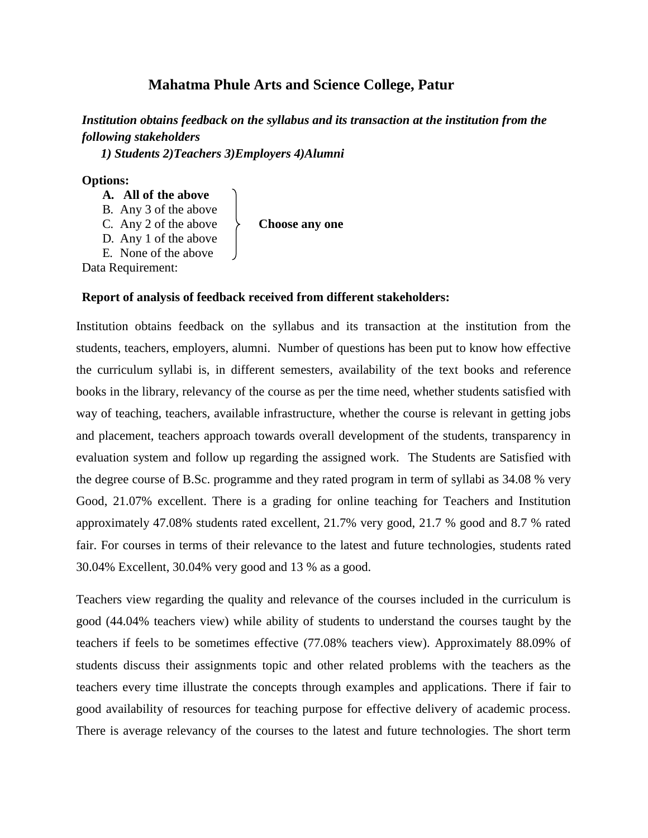#### **Mahatma Phule Arts and Science College, Patur**

#### *Institution obtains feedback on the syllabus and its transaction at the institution from the following stakeholders*

*1) Students 2)Teachers 3)Employers 4)Alumni*

#### **Options:**

- **A. All of the above**
- B. Any 3 of the above
- C. Any 2 of the above  $\longrightarrow$  **Choose any one**
- D. Any 1 of the above

E. None of the above Data Requirement:

#### **Report of analysis of feedback received from different stakeholders:**

Institution obtains feedback on the syllabus and its transaction at the institution from the students, teachers, employers, alumni. Number of questions has been put to know how effective the curriculum syllabi is, in different semesters, availability of the text books and reference books in the library, relevancy of the course as per the time need, whether students satisfied with way of teaching, teachers, available infrastructure, whether the course is relevant in getting jobs and placement, teachers approach towards overall development of the students, transparency in evaluation system and follow up regarding the assigned work. The Students are Satisfied with the degree course of B.Sc. programme and they rated program in term of syllabi as 34.08 % very Good, 21.07% excellent. There is a grading for online teaching for Teachers and Institution approximately 47.08% students rated excellent, 21.7% very good, 21.7 % good and 8.7 % rated fair. For courses in terms of their relevance to the latest and future technologies, students rated 30.04% Excellent, 30.04% very good and 13 % as a good.

Teachers view regarding the quality and relevance of the courses included in the curriculum is good (44.04% teachers view) while ability of students to understand the courses taught by the teachers if feels to be sometimes effective (77.08% teachers view). Approximately 88.09% of students discuss their assignments topic and other related problems with the teachers as the teachers every time illustrate the concepts through examples and applications. There if fair to good availability of resources for teaching purpose for effective delivery of academic process. There is average relevancy of the courses to the latest and future technologies. The short term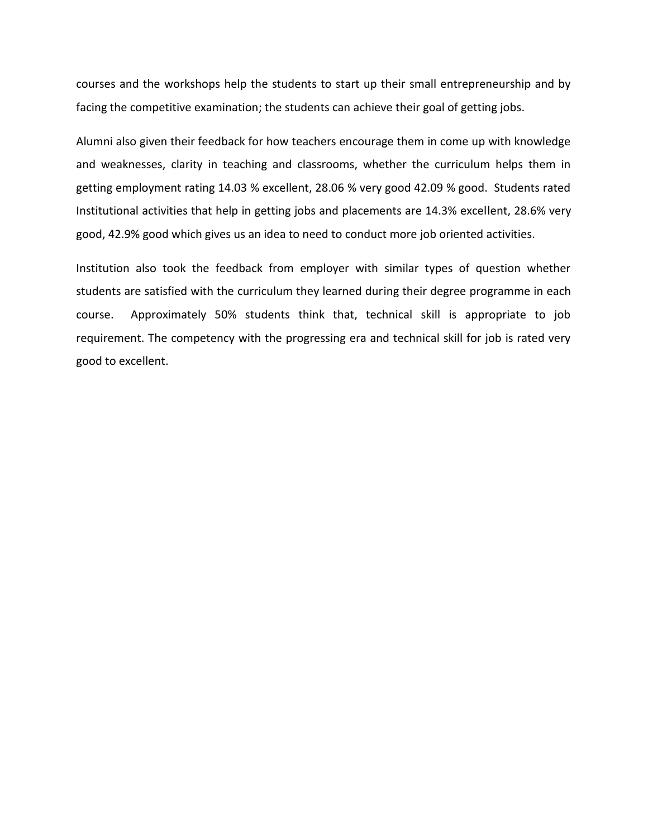courses and the workshops help the students to start up their small entrepreneurship and by facing the competitive examination; the students can achieve their goal of getting jobs.

Alumni also given their feedback for how teachers encourage them in come up with knowledge and weaknesses, clarity in teaching and classrooms, whether the curriculum helps them in getting employment rating 14.03 % excellent, 28.06 % very good 42.09 % good. Students rated Institutional activities that help in getting jobs and placements are 14.3% excellent, 28.6% very good, 42.9% good which gives us an idea to need to conduct more job oriented activities.

Institution also took the feedback from employer with similar types of question whether students are satisfied with the curriculum they learned during their degree programme in each course. Approximately 50% students think that, technical skill is appropriate to job requirement. The competency with the progressing era and technical skill for job is rated very good to excellent.